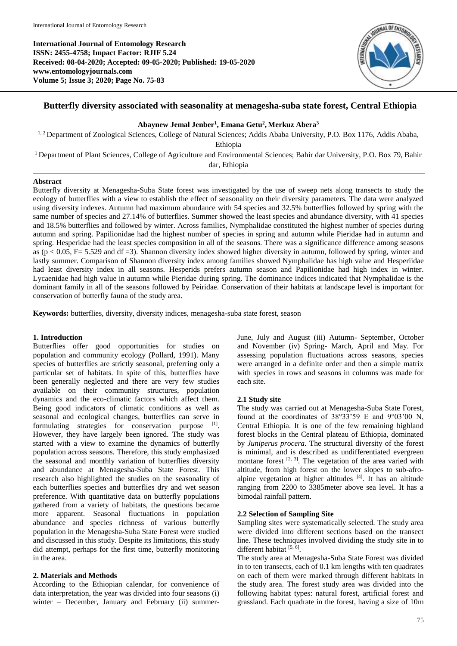

# **Butterfly diversity associated with seasonality at menagesha-suba state forest, Central Ethiopia**

# **Abaynew Jemal Jenber<sup>1</sup> , Emana Getu<sup>2</sup> , Merkuz Abera<sup>3</sup>**

<sup>1, 2</sup> Department of Zoological Sciences, College of Natural Sciences; Addis Ababa University, P.O. Box 1176, Addis Ababa,

Ethiopia

<sup>1</sup> Department of Plant Sciences, College of Agriculture and Environmental Sciences; Bahir dar University, P.O. Box 79, Bahir dar, Ethiopia

# **Abstract**

Butterfly diversity at Menagesha-Suba State forest was investigated by the use of sweep nets along transects to study the ecology of butterflies with a view to establish the effect of seasonality on their diversity parameters. The data were analyzed using diversity indexes. Autumn had maximum abundance with 54 species and 32.5% butterflies followed by spring with the same number of species and 27.14% of butterflies. Summer showed the least species and abundance diversity, with 41 species and 18.5% butterflies and followed by winter. Across families, Nymphalidae constituted the highest number of species during autumn and spring. Papilionidae had the highest number of species in spring and autumn while Pieridae had in autumn and spring. Hesperidae had the least species composition in all of the seasons. There was a significance difference among seasons as ( $p < 0.05$ , F= 5.529 and df =3). Shannon diversity index showed higher diversity in autumn, followed by spring, winter and lastly summer. Comparison of Shannon diversity index among families showed Nymphalidae has high value and Hesperiidae had least diversity index in all seasons. Hesperids prefers autumn season and Papilionidae had high index in winter. Lycaenidae had high value in autumn while Pieridae during spring. The dominance indices indicated that Nymphalidae is the dominant family in all of the seasons followed by Peiridae. Conservation of their habitats at landscape level is important for conservation of butterfly fauna of the study area.

**Keywords:** butterflies, diversity, diversity indices, menagesha-suba state forest, season

### **1. Introduction**

Butterflies offer good opportunities for studies on population and community ecology (Pollard, 1991). Many species of butterflies are strictly seasonal, preferring only a particular set of habitats. In spite of this, butterflies have been generally neglected and there are very few studies available on their community structures, population dynamics and the eco-climatic factors which affect them. Being good indicators of climatic conditions as well as seasonal and ecological changes, butterflies can serve in formulating strategies for conservation purpose [1]. However, they have largely been ignored. The study was started with a view to examine the dynamics of butterfly population across seasons. Therefore, this study emphasized the seasonal and monthly variation of butterflies diversity and abundance at Menagesha-Suba State Forest. This research also highlighted the studies on the seasonality of each butterflies species and butterflies dry and wet season preference. With quantitative data on butterfly populations gathered from a variety of habitats, the questions became more apparent. Seasonal fluctuations in population abundance and species richness of various butterfly population in the Menagesha-Suba State Forest were studied and discussed in this study. Despite its limitations, this study did attempt, perhaps for the first time, butterfly monitoring in the area.

# **2. Materials and Methods**

According to the Ethiopian calendar, for convenience of data interpretation, the year was divided into four seasons (i) winter - December, January and February (ii) summerJune, July and August (iii) Autumn- September, October and November (iv) Spring- March, April and May. For assessing population fluctuations across seasons, species were arranged in a definite order and then a simple matrix with species in rows and seasons in columns was made for each site.

#### **2.1 Study site**

The study was carried out at Menagesha-Suba State Forest, found at the coordinates of 38°33'59 E and 9°03'00 N, Central Ethiopia. It is one of the few remaining highland forest blocks in the Central plateau of Ethiopia, dominated by *Juniperus procera.* The structural diversity of the forest is minimal, and is described as undifferentiated evergreen montane forest  $[2, 3]$ . The vegetation of the area varied with altitude, from high forest on the lower slopes to sub-afroalpine vegetation at higher altitudes  $[4]$ . It has an altitude ranging from 2200 to 3385meter above sea level. It has a bimodal rainfall pattern.

### **2.2 Selection of Sampling Site**

Sampling sites were systematically selected. The study area were divided into different sections based on the transect line. These techniques involved dividing the study site in to different habitat [5, 6].

The study area at Menagesha-Suba State Forest was divided in to ten transects, each of 0.1 km lengths with ten quadrates on each of them were marked through different habitats in the study area. The forest study area was divided into the following habitat types: natural forest, artificial forest and grassland. Each quadrate in the forest, having a size of 10m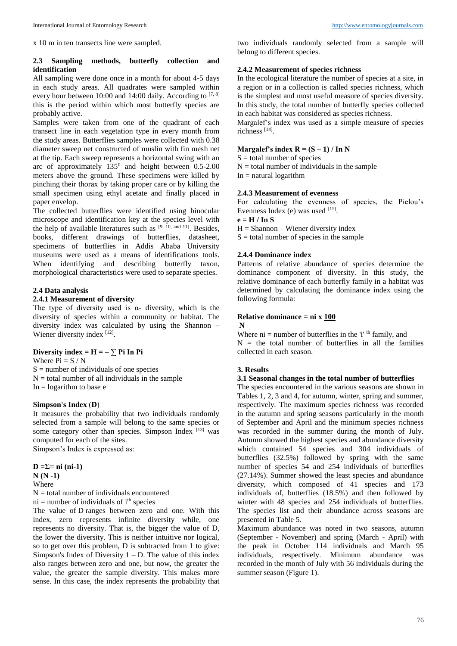x 10 m in ten transects line were sampled.

# **2.3 Sampling methods, butterfly collection and identification**

All sampling were done once in a month for about 4-5 days in each study areas. All quadrates were sampled within every hour between 10:00 and 14:00 daily. According to  $[7, 8]$ this is the period within which most butterfly species are probably active.

Samples were taken from one of the quadrant of each transect line in each vegetation type in every month from the study areas. Butterflies samples were collected with 0.38 diameter sweep net constructed of muslin with fin mesh net at the tip. Each sweep represents a horizontal swing with an arc of approximately  $135^{\circ}$  and height between 0.5-2.00 meters above the ground. These specimens were killed by pinching their thorax by taking proper care or by killing the small specimen using ethyl acetate and finally placed in paper envelop.

The collected butterflies were identified using binocular microscope and identification key at the species level with the help of available literatures such as  $[9, 10, \text{ and } 11]$ . Besides, books, different drawings of butterflies, datasheet, specimens of butterflies in Addis Ababa University museums were used as a means of identifications tools. When identifying and describing butterfly taxon, morphological characteristics were used to separate species.

### **2.4 Data analysis**

# **2.4.1 Measurement of diversity**

The type of diversity used is  $\alpha$ - diversity, which is the diversity of species within a community or habitat. The diversity index was calculated by using the Shannon – Wiener diversity index [12].

# Diversity index =  $H = -\sum P i$  In Pi

Where  $Pi = S / N$  $S =$  number of individuals of one species  $N =$  total number of all individuals in the sample  $In = logarithm$  to base e

### **Simpson's Index** (**D**)

It measures the probability that two individuals randomly selected from a sample will belong to the same species or some category other than species. Simpson Index [13] was computed for each of the sites.

Simpson's Index is expressed as:

# **D =Σ= ni (ni-1)**

**N (N -1)**

Where

 $N =$  total number of individuals encountered  $ni = number of individuals of i<sup>th</sup> species$ 

The value of D ranges between zero and one. With this index, zero represents infinite diversity while, one represents no diversity. That is, the bigger the value of D, the lower the diversity. This is neither intuitive nor logical, so to get over this problem, D is subtracted from 1 to give: Simpson's Index of Diversity  $1 - D$ . The value of this index also ranges between zero and one, but now, the greater the value, the greater the sample diversity. This makes more sense. In this case, the index represents the probability that

two individuals randomly selected from a sample will belong to different species.

### **2.4.2 Measurement of species richness**

In the ecological literature the number of species at a site, in a region or in a collection is called species richness, which is the simplest and most useful measure of species diversity. In this study, the total number of butterfly species collected in each habitat was considered as species richness.

Margalef's index was used as a simple measure of species richness [14] .

# **Margalef's index R =**  $(S - 1)$  **/ In N**

 $S =$  total number of species  $N =$  total number of individuals in the sample

 $In = natural logarithm$ 

#### **2.4.3 Measurement of evenness**

For calculating the evenness of species, the Pielou's Evenness Index (e) was used  $[15]$ .

#### **e = H / In S**

 $H =$  Shannon – Wiener diversity index

 $S =$  total number of species in the sample

# **2.4.4 Dominance index**

Patterns of relative abundance of species determine the dominance component of diversity. In this study, the relative dominance of each butterfly family in a habitat was determined by calculating the dominance index using the following formula:

#### **Relative dominance = ni x 100 N**

Where  $ni =$  number of butterflies in the 'i' <sup>th</sup> family, and  $N =$  the total number of butterflies in all the families collected in each season.

### **3. Results**

# **3.1 Seasonal changes in the total number of butterflies**

The species encountered in the various seasons are shown in Tables 1, 2, 3 and 4, for autumn, winter, spring and summer, respectively. The maximum species richness was recorded in the autumn and spring seasons particularly in the month of September and April and the minimum species richness was recorded in the summer during the month of July. Autumn showed the highest species and abundance diversity which contained 54 species and 304 individuals of butterflies (32.5%) followed by spring with the same number of species 54 and 254 individuals of butterflies (27.14%). Summer showed the least species and abundance diversity, which composed of 41 species and 173 individuals of, butterflies (18.5%) and then followed by winter with 48 species and 254 individuals of butterflies. The species list and their abundance across seasons are presented in Table 5.

Maximum abundance was noted in two seasons, autumn (September - November) and spring (March - April) with the peak in October 114 individuals and March 95 individuals, respectively. Minimum abundance was recorded in the month of July with 56 individuals during the summer season (Figure 1).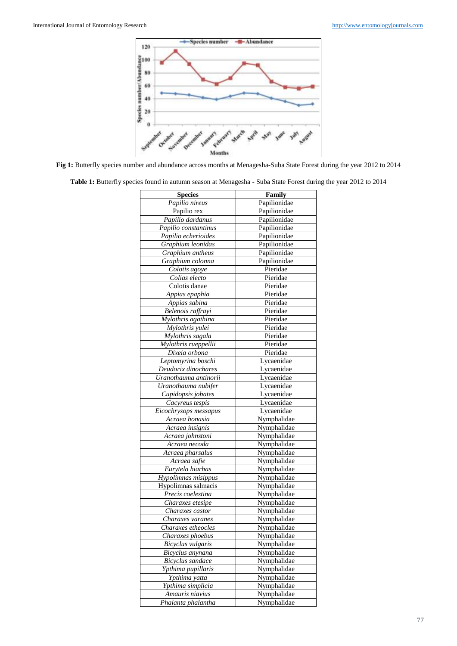

**Fig 1:** Butterfly species number and abundance across months at Menagesha-Suba State Forest during the year 2012 to 2014

**Table 1:** Butterfly species found in autumn season at Menagesha - Suba State Forest during the year 2012 to 2014

| <b>Species</b>        | Family       |  |
|-----------------------|--------------|--|
| Papilio nireus        | Papilionidae |  |
| Papilio rex           | Papilionidae |  |
| Papilio dardanus      | Papilionidae |  |
| Papilio constantinus  | Papilionidae |  |
| Papilio echerioides   | Papilionidae |  |
| Graphium leonidas     | Papilionidae |  |
| Graphium antheus      | Papilionidae |  |
| Graphium colonna      | Papilionidae |  |
| Colotis agoye         | Pieridae     |  |
| Colias electo         | Pieridae     |  |
| Colotis danae         | Pieridae     |  |
| Appias epaphia        | Pieridae     |  |
| Appias sabina         | Pieridae     |  |
| Belenois raffrayi     | Pieridae     |  |
| Mylothris agathina    | Pieridae     |  |
| Mylothris yulei       | Pieridae     |  |
| Mylothris sagala      | Pieridae     |  |
| Mylothris rueppellii  | Pieridae     |  |
| Dixeia orbona         | Pieridae     |  |
| Leptomyrina boschi    | Lycaenidae   |  |
| Deudorix dinochares   | Lycaenidae   |  |
| Uranothauma antinorii | Lycaenidae   |  |
| Uranothauma nubifer   | Lycaenidae   |  |
| Cupidopsis jobates    | Lycaenidae   |  |
| Cacyreus tespis       | Lycaenidae   |  |
| Eicochrysops messapus | Lycaenidae   |  |
| Acraea bonasia        | Nymphalidae  |  |
| Acraea insignis       | Nymphalidae  |  |
| Acraea johnstoni      | Nymphalidae  |  |
| Acraea necoda         | Nymphalidae  |  |
| Acraea pharsalus      | Nymphalidae  |  |
| Acraea safie          | Nymphalidae  |  |
| Eurytela hiarbas      | Nymphalidae  |  |
| Hypolimnas misippus   | Nymphalidae  |  |
| Hypolimnas salmacis   | Nymphalidae  |  |
| Precis coelestina     | Nymphalidae  |  |
| Charaxes etesipe      | Nymphalidae  |  |
| Charaxes castor       | Nymphalidae  |  |
| Charaxes varanes      | Nymphalidae  |  |
| Charaxes etheocles    | Nymphalidae  |  |
| Charaxes phoebus      | Nymphalidae  |  |
| Bicyclus vulgaris     | Nymphalidae  |  |
| Bicyclus anynana      | Nymphalidae  |  |
| Bicyclus sandace      | Nymphalidae  |  |
| Ypthima pupillaris    | Nymphalidae  |  |
| Ypthima yatta         | Nymphalidae  |  |
| Ypthima simplicia     | Nymphalidae  |  |
| Amauris niavius       | Nymphalidae  |  |
| Phalanta phalantha    | Nymphalidae  |  |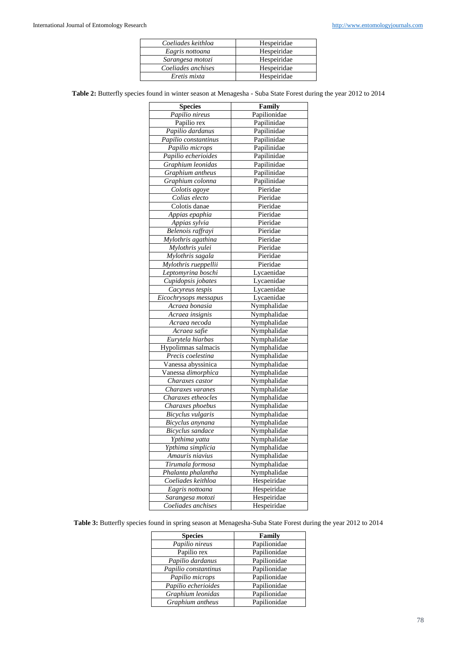| Coeliades keithloa | Hespeiridae |
|--------------------|-------------|
| Eagris nottoana    | Hespeiridae |
| Sarangesa motozi   | Hespeiridae |
| Coeliades anchises | Hespeiridae |
| Eretis mixta       | Hespeiridae |

**Table 2:** Butterfly species found in winter season at Menagesha - Suba State Forest during the year 2012 to 2014

| <b>Species</b>        | Family                     |  |
|-----------------------|----------------------------|--|
| Papilio nireus        | Papilionidae               |  |
| Papilio rex           | Papilinidae                |  |
| Papilio dardanus      | Papilinidae                |  |
| Papilio constantinus  | Papilinidae                |  |
| Papilio microps       | Papilinidae                |  |
| Papilio echerioides   | Papilinidae                |  |
| Graphium leonidas     | Papilinidae                |  |
| Graphium antheus      | Papilinidae                |  |
| Graphium colonna      | Papilinidae                |  |
| Colotis agoye         | Pieridae                   |  |
| Colias electo         | Pieridae                   |  |
| Colotis danae         | Pieridae                   |  |
| Appias epaphia        | Pieridae                   |  |
| Appias sylvia         | Pieridae                   |  |
| Belenois raffrayi     | Pieridae                   |  |
| Mylothris agathina    | Pieridae                   |  |
| Mylothris yulei       | Pieridae                   |  |
| Mylothris sagala      | Pieridae                   |  |
| Mylothris rueppellii  | Pieridae                   |  |
| Leptomyrina boschi    | Lycaenidae                 |  |
| Cupidopsis jobates    | Lycaenidae                 |  |
| Cacyreus tespis       | Lycaenidae                 |  |
| Eicochrysops messapus | Lycaenidae                 |  |
| Acraea bonasia        | Nymphalidae                |  |
| Acraea insignis       | Nymphalidae                |  |
| Acraea necoda         | Nymphalidae                |  |
| Acraea safie          | Nymphalidae                |  |
| Eurytela hiarbas      | Nymphalidae                |  |
| Hypolimnas salmacis   | Nymphalidae                |  |
| Precis coelestina     | Nymphalidae                |  |
| Vanessa abyssinica    | Nymphalidae                |  |
| Vanessa dimorphica    | Nymphalidae                |  |
| Charaxes castor       | Nymphalidae                |  |
| Charaxes varanes      | Nymphalidae                |  |
| Charaxes etheocles    | Nymphalidae                |  |
| Charaxes phoebus      | Nymphalidae                |  |
| Bicyclus vulgaris     | Nymphalidae                |  |
| Bicyclus anynana      | Nymphalidae                |  |
| Bicyclus sandace      | Nymphalidae                |  |
| Ypthima yatta         | Nymphalidae                |  |
| Ypthima simplicia     | Nymphalidae                |  |
| Amauris niavius       | Nymphalidae                |  |
| Tirumala formosa      | Nymphalidae                |  |
| Phalanta phalantha    | Nymphalidae                |  |
| Coeliades keithloa    | Hespeiridae                |  |
| Eagris nottoana       | Hespeiridae                |  |
| Sarangesa motozi      | Hespeiridae<br>Hespeiridae |  |
| Coeliades anchises    |                            |  |

**Table 3:** Butterfly species found in spring season at Menagesha-Suba State Forest during the year 2012 to 2014

| <b>Species</b>       | Family       |
|----------------------|--------------|
| Papilio nireus       | Papilionidae |
| Papilio rex          | Papilionidae |
| Papilio dardanus     | Papilionidae |
| Papilio constantinus | Papilionidae |
| Papilio microps      | Papilionidae |
| Papilio echerioides  | Papilionidae |
| Graphium leonidas    | Papilionidae |
| Graphium antheus     | Papilionidae |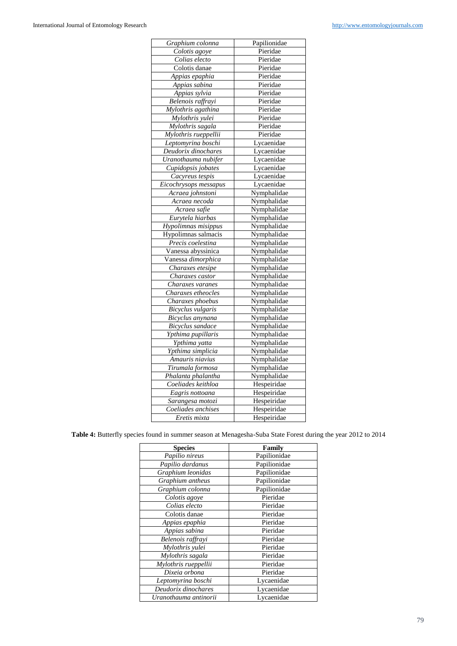| Graphium colonna        | Papilionidae |
|-------------------------|--------------|
| Colotis agoye           | Pieridae     |
| Colias electo           | Pieridae     |
| Colotis danae           | Pieridae     |
| Appias epaphia          | Pieridae     |
| Appias sabina           | Pieridae     |
| Appias sylvia           | Pieridae     |
| Belenois raffrayi       | Pieridae     |
| Mylothris agathina      | Pieridae     |
| Mylothris vulei         | Pieridae     |
| Mylothris sagala        | Pieridae     |
| Mylothris rueppellii    | Pieridae     |
| Leptomyrina boschi      | Lycaenidae   |
| Deudorix dinochares     | Lycaenidae   |
| Uranothauma nubifer     | Lycaenidae   |
| Cupidopsis jobates      | Lycaenidae   |
| Cacyreus tespis         | Lycaenidae   |
| Eicochrysops messapus   | Lycaenidae   |
| Acraea johnstoni        | Nymphalidae  |
| Acraea necoda           | Nymphalidae  |
| Acraea safie            | Nymphalidae  |
| Eurytela hiarbas        | Nymphalidae  |
| Hypolimnas misippus     | Nymphalidae  |
| Hypolimnas salmacis     | Nymphalidae  |
| Precis coelestina       | Nymphalidae  |
| Vanessa abyssinica      | Nymphalidae  |
| Vanessa dimorphica      | Nymphalidae  |
| Charaxes etesipe        | Nymphalidae  |
| Charaxes castor         | Nymphalidae  |
| Charaxes varanes        | Nymphalidae  |
| Charaxes etheocles      | Nymphalidae  |
| Charaxes phoebus        | Nymphalidae  |
| Bicyclus vulgaris       | Nymphalidae  |
| Bicyclus anynana        | Nymphalidae  |
| <b>Bicyclus</b> sandace | Nymphalidae  |
| Ypthima pupillaris      | Nymphalidae  |
|                         |              |
| Ypthima yatta           | Nymphalidae  |
| Ypthima simplicia       | Nymphalidae  |
| Amauris niavius         | Nymphalidae  |
| Tirumala formosa        | Nymphalidae  |
| Phalanta phalantha      | Nymphalidae  |
| Coeliades keithloa      | Hespeiridae  |
| Eagris nottoana         | Hespeiridae  |
| Sarangesa motozi        | Hespeiridae  |
| Coeliades anchises      | Hespeiridae  |
| Eretis mixta            | Hespeiridae  |

**Table 4:** Butterfly species found in summer season at Menagesha-Suba State Forest during the year 2012 to 2014

| <b>Species</b>        | Family       |  |
|-----------------------|--------------|--|
| Papilio nireus        | Papilionidae |  |
| Papilio dardanus      | Papilionidae |  |
| Graphium leonidas     | Papilionidae |  |
| Graphium antheus      | Papilionidae |  |
| Graphium colonna      | Papilionidae |  |
| Colotis agoye         | Pieridae     |  |
| Colias electo         | Pieridae     |  |
| Colotis danae         | Pieridae     |  |
| Appias epaphia        | Pieridae     |  |
| Appias sabina         | Pieridae     |  |
| Belenois raffrayi     | Pieridae     |  |
| Mylothris yulei       | Pieridae     |  |
| Mylothris sagala      | Pieridae     |  |
| Mylothris rueppellii  | Pieridae     |  |
| Dixeia orbona         | Pieridae     |  |
| Leptomyrina boschi    | Lycaenidae   |  |
| Deudorix dinochares   | Lycaenidae   |  |
| Uranothauma antinorii | Lycaenidae   |  |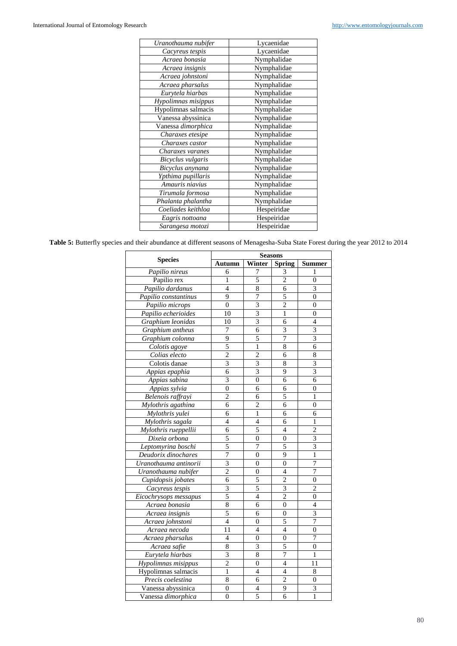| Uranothauma nubifer | Lycaenidae  |
|---------------------|-------------|
| Cacyreus tespis     | Lycaenidae  |
| Acraea bonasia      | Nymphalidae |
| Acraea insignis     | Nymphalidae |
| Acraea johnstoni    | Nymphalidae |
| Acraea pharsalus    | Nymphalidae |
| Eurytela hiarbas    | Nymphalidae |
| Hypolimnas misippus | Nymphalidae |
| Hypolimnas salmacis | Nymphalidae |
| Vanessa abyssinica  | Nymphalidae |
| Vanessa dimorphica  | Nymphalidae |
| Charaxes etesipe    | Nymphalidae |
| Charaxes castor     | Nymphalidae |
| Charaxes varanes    | Nymphalidae |
| Bicyclus vulgaris   | Nymphalidae |
| Bicyclus anynana    | Nymphalidae |
| Ypthima pupillaris  | Nymphalidae |
| Amauris niavius     | Nymphalidae |
| Tirumala formosa    | Nymphalidae |
| Phalanta phalantha  | Nymphalidae |
| Coeliades keithloa  | Hespeiridae |
| Eagris nottoana     | Hespeiridae |
| Sarangesa motozi    | Hespeiridae |

**Table 5:** Butterfly species and their abundance at different seasons of Menagesha-Suba State Forest during the year 2012 to 2014

| <b>Species</b>        | <b>Seasons</b>           |                         |                          |                         |
|-----------------------|--------------------------|-------------------------|--------------------------|-------------------------|
|                       | <b>Autumn</b>            | Winter                  | <b>Spring</b>            | <b>Summer</b>           |
| Papilio nireus        | 6                        | 7                       | 3                        | 1                       |
| Papilio rex           | 1                        | 5                       | $\overline{c}$           | $\overline{0}$          |
| Papilio dardanus      | $\overline{\mathcal{L}}$ | $\overline{8}$          | 6                        | $\overline{3}$          |
| Papilio constantinus  | 9                        | 7                       | 5                        | $\overline{0}$          |
| Papilio microps       | $\Omega$                 | 3                       | $\overline{2}$           | $\overline{0}$          |
| Papilio echerioides   | 10                       | $\overline{3}$          | $\mathbf{1}$             | $\boldsymbol{0}$        |
| Graphium leonidas     | 10                       | $\overline{3}$          | 6                        | $\overline{4}$          |
| Graphium antheus      | 7                        | 6                       | $\overline{3}$           | $\overline{\mathbf{3}}$ |
| Graphium colonna      | 9                        | 5                       | 7                        | 3                       |
| Colotis agoye         | 5                        | 1                       | 8                        | 6                       |
| Colias electo         | $\overline{c}$           | $\overline{c}$          | 6                        | $\overline{8}$          |
| Colotis danae         | $\overline{3}$           | $\overline{3}$          | 8                        | $\overline{3}$          |
| Appias epaphia        | 6                        | $\overline{3}$          | 9                        | $\overline{3}$          |
| Appias sabina         | 3                        | 0                       | 6                        | 6                       |
| Appias sylvia         | $\overline{0}$           | 6                       | 6                        | $\overline{0}$          |
| Belenois raffrayi     | $\overline{2}$           | 6                       | $\overline{5}$           | $\mathbf{1}$            |
| Mylothris agathina    | 6                        | $\overline{c}$          | 6                        | $\overline{0}$          |
| Mylothris yulei       | 6                        | $\mathbf{1}$            | 6                        | 6                       |
| Mylothris sagala      | 4                        | 4                       | 6                        | 1                       |
| Mylothris rueppellii  | $\overline{6}$           | 5                       | $\overline{4}$           | $\overline{c}$          |
| Dixeia orbona         | 5                        | $\overline{0}$          | $\boldsymbol{0}$         | $\overline{3}$          |
| Leptomyrina boschi    | 5                        | $\overline{7}$          | 5                        | 3                       |
| Deudorix dinochares   | 7                        | $\theta$                | 9                        | $\mathbf{1}$            |
| Uranothauma antinorii | 3                        | 0                       | $\overline{0}$           | 7                       |
| Uranothauma nubifer   | $\overline{2}$           | $\theta$                | $\overline{\mathcal{A}}$ | $\overline{7}$          |
| Cupidopsis jobates    | $\overline{6}$           | 5                       | $\overline{c}$           | $\overline{0}$          |
| Cacyreus tespis       | $\overline{3}$           | 5                       | $\overline{3}$           | $\overline{c}$          |
| Eicochrysops messapus | 5                        | 4                       | $\mathfrak{D}$           | $\theta$                |
| Acraea bonasia        | 8                        | 6                       | $\overline{0}$           | $\overline{4}$          |
| Acraea insignis       | 5                        | 6                       | $\theta$                 | $\overline{3}$          |
| Acraea johnstoni      | 4                        | $\overline{0}$          | 5                        | $\overline{7}$          |
| Acraea necoda         | 11                       | 4                       | $\overline{4}$           | $\overline{0}$          |
| Acraea pharsalus      | 4                        | 0                       | $\overline{0}$           | 7                       |
| Acraea safie          | $\overline{8}$           | $\overline{\mathbf{3}}$ | 5                        | $\overline{0}$          |
| Eurytela hiarbas      | $\overline{3}$           | 8                       | $\overline{7}$           | 1                       |
| Hypolimnas misippus   | $\overline{2}$           | $\boldsymbol{0}$        | $\overline{\mathcal{L}}$ | 11                      |
| Hypolimnas salmacis   | $\mathbf{1}$             | $\overline{4}$          | $\overline{4}$           | 8                       |
| Precis coelestina     | 8                        | 6                       | $\overline{2}$           | $\boldsymbol{0}$        |
| Vanessa abyssinica    | $\overline{0}$           | 4                       | 9                        | $\overline{3}$          |
| Vanessa dimorphica    | $\overline{0}$           | $\overline{5}$          | $\overline{6}$           | $\overline{1}$          |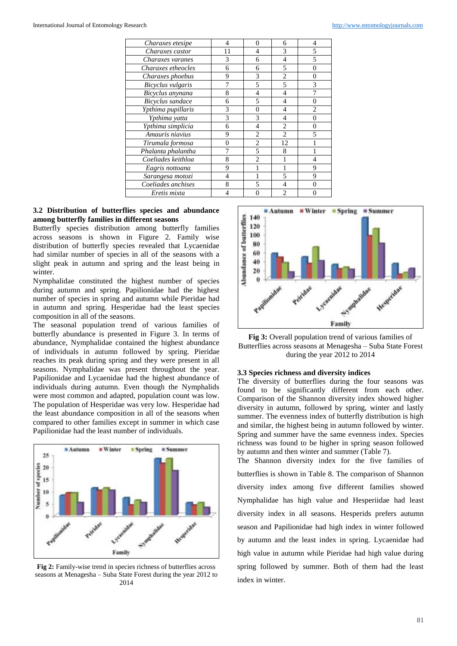| Charaxes etesipe               | 4        | 0              | 6              | 4              |
|--------------------------------|----------|----------------|----------------|----------------|
| Charaxes castor                | 11       | 4              | 3              | 5              |
| Charaxes varanes               | 3        | 6              | 4              | $\overline{5}$ |
| Charaxes etheocles             | 6        | 6              | 5              | 0              |
| Charaxes phoebus               | 9        | 3              | $\overline{c}$ | $\theta$       |
| Bicyclus vulgaris              |          | 5              | $\overline{5}$ | 3              |
| $\overline{B}$ icyclus anynana | 8        | 4              | $\overline{4}$ | 7              |
| Bicyclus sandace               | 6        | 5              | 4              | 0              |
| Ypthima pupillaris             | 3        | 0              | 4              | $\overline{c}$ |
| Ypthima yatta                  | 3        | 3              | 4              | 0              |
| Ypthima simplicia              | 6        | 4              | 2              | 0              |
| Amauris niavius                | 9        | 2              | 2              | 5              |
| Tirumala formosa               | $\Omega$ | $\overline{c}$ | 12             |                |
| Phalanta phalantha             |          | 5              | 8              |                |
| Coeliades keithloa             | 8        | $\overline{c}$ |                | 4              |
| Eagris nottoana                | 9        |                |                | 9              |
| Sarangesa motozi               | 4        |                | 5              | 9              |
| Coeliades anchises             | 8        | 5              | 4              | 0              |
| Eretis mixta                   |          |                | っ              |                |

### **3.2 Distribution of butterflies species and abundance among butterfly families in different seasons**

Butterfly species distribution among butterfly families across seasons is shown in Figure 2. Family wise distribution of butterfly species revealed that Lycaenidae had similar number of species in all of the seasons with a slight peak in autumn and spring and the least being in winter.

Nymphalidae constituted the highest number of species during autumn and spring. Papilionidae had the highest number of species in spring and autumn while Pieridae had in autumn and spring. Hesperidae had the least species composition in all of the seasons.

The seasonal population trend of various families of butterfly abundance is presented in Figure 3. In terms of abundance, Nymphalidae contained the highest abundance of individuals in autumn followed by spring. Pieridae reaches its peak during spring and they were present in all seasons. Nymphalidae was present throughout the year. Papilionidae and Lycaenidae had the highest abundance of individuals during autumn. Even though the Nymphalids were most common and adapted, population count was low. The population of Hesperidae was very low. Hesperidae had the least abundance composition in all of the seasons when compared to other families except in summer in which case Papilionidae had the least number of individuals.



**Fig 2:** Family-wise trend in species richness of butterflies across seasons at Menagesha – Suba State Forest during the year 2012 to 2014



**Fig 3:** Overall population trend of various families of Butterflies across seasons at Menagesha – Suba State Forest during the year 2012 to 2014

### **3.3 Species richness and diversity indices**

The diversity of butterflies during the four seasons was found to be significantly different from each other. Comparison of the Shannon diversity index showed higher diversity in autumn, followed by spring, winter and lastly summer. The evenness index of butterfly distribution is high and similar, the highest being in autumn followed by winter. Spring and summer have the same evenness index. Species richness was found to be higher in spring season followed by autumn and then winter and summer (Table 7).

The Shannon diversity index for the five families of butterflies is shown in Table 8. The comparison of Shannon diversity index among five different families showed Nymphalidae has high value and Hesperiidae had least diversity index in all seasons. Hesperids prefers autumn season and Papilionidae had high index in winter followed by autumn and the least index in spring. Lycaenidae had high value in autumn while Pieridae had high value during spring followed by summer. Both of them had the least index in winter.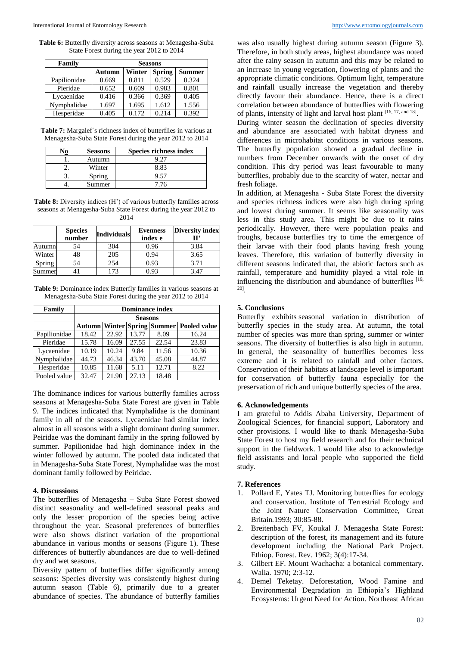**Table 6:** Butterfly diversity across seasons at Menagesha-Suba State Forest during the year 2012 to 2014

| Family       | <b>Seasons</b>                              |       |       |       |  |
|--------------|---------------------------------------------|-------|-------|-------|--|
|              | Winter<br><b>Spring</b><br>Summer<br>Autumn |       |       |       |  |
| Papilionidae | 0.669                                       | 0.811 | 0.529 | 0.324 |  |
| Pieridae     | 0.652                                       | 0.609 | 0.983 | 0.801 |  |
| Lycaenidae   | 0.416                                       | 0.366 | 0.369 | 0.405 |  |
| Nymphalidae  | 1.697                                       | 1.695 | 1.612 | 1.556 |  |
| Hesperidae   | 0.405                                       | 0.172 | 0.214 | 0.392 |  |

**Table 7:** Margalef´s richness index of butterflies in various at Menagesha-Suba State Forest during the year 2012 to 2014

| <b>Seasons</b> | <b>Species richness index</b> |
|----------------|-------------------------------|
| Autumn         | 9.27                          |
| Winter         | 8.83                          |
| Spring         | 9.57                          |
| Summer         | 7 76                          |

**Table 8:** Diversity indices (H') of various butterfly families across seasons at Menagesha-Suba State Forest during the year 2012 to 2014

|        | <b>Species</b><br>number | <b>Individuals</b> | <b>Evenness</b><br>index e | <b>Diversity index</b><br>H' |
|--------|--------------------------|--------------------|----------------------------|------------------------------|
| Autumn | 54                       | 304                | 0.96                       | 3.84                         |
| Winter | 48                       | 205                | 0.94                       | 3.65                         |
| Spring | 54                       | 254                | 0.93                       | 3.71                         |
| Summer |                          | 173                | 0.93                       | 3.47                         |

**Table 9:** Dominance index Butterfly families in various seasons at Menagesha-Suba State Forest during the year 2012 to 2014

| Family       | <b>Dominance index</b> |       |       |       |                                                 |
|--------------|------------------------|-------|-------|-------|-------------------------------------------------|
|              | <b>Seasons</b>         |       |       |       |                                                 |
|              |                        |       |       |       | <b>Autumn Winter Spring Summer Pooled value</b> |
| Papilionidae | 18.42                  | 22.92 | 13.77 | 8.09  | 16.24                                           |
| Pieridae     | 15.78                  | 16.09 | 27.55 | 22.54 | 23.83                                           |
| Lycaenidae   | 10.19                  | 10.24 | 9.84  | 11.56 | 10.36                                           |
| Nymphalidae  | 44.73                  | 46.34 | 43.70 | 45.08 | 44.87                                           |
| Hesperidae   | 10.85                  | 11.68 | 5.11  | 12.71 | 8.22                                            |
| Pooled value | 32.47                  | 21.90 | 27.13 | 18.48 |                                                 |

The dominance indices for various butterfly families across seasons at Menagesha-Suba State Forest are given in Table 9. The indices indicated that Nymphalidae is the dominant family in all of the seasons. Lycaenidae had similar index almost in all seasons with a slight dominant during summer. Peiridae was the dominant family in the spring followed by summer. Papilionidae had high dominance index in the winter followed by autumn. The pooled data indicated that in Menagesha-Suba State Forest, Nymphalidae was the most dominant family followed by Peiridae.

### **4. Discussions**

The butterflies of Menagesha – Suba State Forest showed distinct seasonality and well-defined seasonal peaks and only the lesser proportion of the species being active throughout the year. Seasonal preferences of butterflies were also shows distinct variation of the proportional abundance in various months or seasons (Figure 1). These differences of butterfly abundances are due to well-defined dry and wet seasons.

Diversity pattern of butterflies differ significantly among seasons: Species diversity was consistently highest during autumn season (Table 6), primarily due to a greater abundance of species. The abundance of butterfly families

was also usually highest during autumn season (Figure 3). Therefore, in both study areas, highest abundance was noted after the rainy season in autumn and this may be related to an increase in young vegetation, flowering of plants and the appropriate climatic conditions. Optimum light, temperature and rainfall usually increase the vegetation and thereby directly favour their abundance. Hence, there is a direct correlation between abundance of butterflies with flowering of plants, intensity of light and larval host plant [16, 17, and 18] .

During winter season the declination of species diversity and abundance are associated with habitat dryness and differences in microhabitat conditions in various seasons. The butterfly population showed a gradual decline in numbers from December onwards with the onset of dry condition. This dry period was least favourable to many butterflies, probably due to the scarcity of water, nectar and fresh foliage.

In addition, at Menagesha - Suba State Forest the diversity and species richness indices were also high during spring and lowest during summer. It seems like seasonality was less in this study area. This might be due to it rains periodically. However, there were population peaks and troughs, because butterflies try to time the emergence of their larvae with their food plants having fresh young leaves. Therefore, this variation of butterfly diversity in different seasons indicated that, the abiotic factors such as rainfall, temperature and humidity played a vital role in influencing the distribution and abundance of butterflies  $[19, 10]$ 20] .

# **5. Conclusions**

Butterfly exhibits seasonal variation in distribution of butterfly species in the study area. At autumn, the total number of species was more than spring, summer or winter seasons. The diversity of butterflies is also high in autumn. In general, the seasonality of butterflies becomes less extreme and it is related to rainfall and other factors. Conservation of their habitats at landscape level is important for conservation of butterfly fauna especially for the preservation of rich and unique butterfly species of the area.

# **6. Acknowledgements**

I am grateful to Addis Ababa University, Department of Zoological Sciences, for financial support, Laboratory and other provisions. I would like to thank Menagesha-Suba State Forest to host my field research and for their technical support in the fieldwork. I would like also to acknowledge field assistants and local people who supported the field study.

# **7. References**

- 1. Pollard E, Yates TJ. Monitoring butterflies for ecology and conservation. Institute of Terrestrial Ecology and the Joint Nature Conservation Committee, Great Britain*.*1993; 30:85-88.
- 2. Breitenbach FV, Koukal J. Menagesha State Forest: description of the forest, its management and its future development including the National Park Project. Ethiop. Forest. Rev. 1962; 3(4):17-34.
- 3. Gilbert EF. Mount Wachacha: a botanical commentary. Walia. 1970; 2:3-12.
- 4. Demel Teketay. Deforestation, Wood Famine and Environmental Degradation in Ethiopia's Highland Ecosystems: Urgent Need for Action. Northeast African